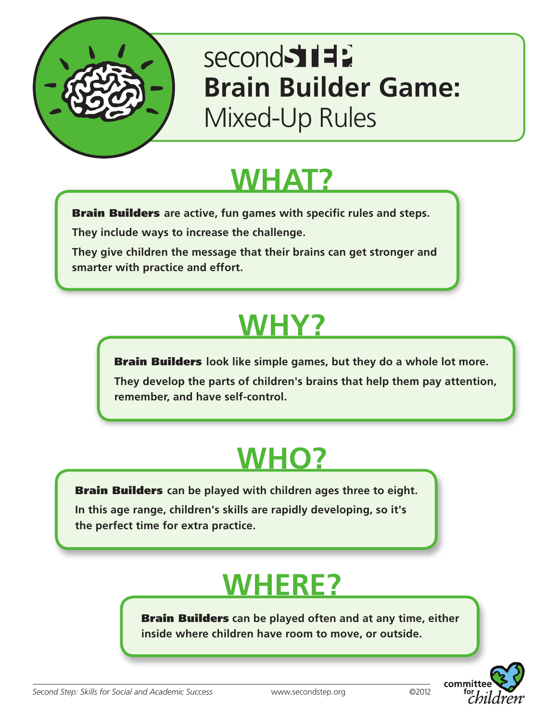

### second 511 **Brain Builder Game:** Mixed-Up Rules

### **WHAT?**

Brain Builders **are active, fun games with specific rules and steps.**

**They include ways to increase the challenge.** 

**They give children the message that their brains can get stronger and smarter with practice and effort.**

# **WHY?**

Brain Builders **look like simple games, but they do a whole lot more.** 

**They develop the parts of children's brains that help them pay attention, remember, and have self-control.**

# **WHO?**

Brain Builders **can be played with children ages three to eight.** 

**In this age range, children's skills are rapidly developing, so it's the perfect time for extra practice.**

# **WHERE?**

Brain Builders **can be played often and at any time, either inside where children have room to move, or outside.**